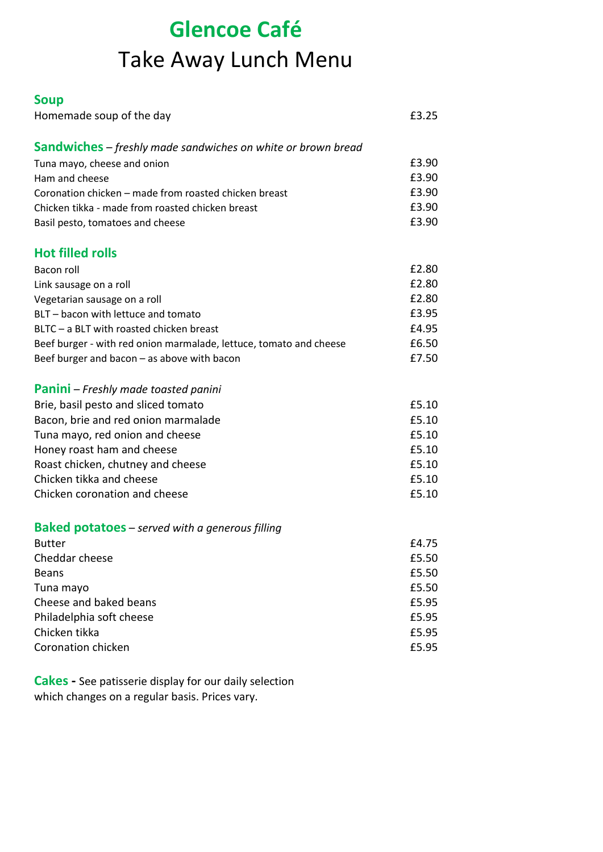## **Glencoe Café** Take Away Lunch Menu

## **Soup**

| Homemade soup of the day                                            | £3.25 |
|---------------------------------------------------------------------|-------|
| <b>Sandwiches</b> – freshly made sandwiches on white or brown bread |       |
| Tuna mayo, cheese and onion                                         | £3.90 |
| Ham and cheese                                                      | £3.90 |
| Coronation chicken - made from roasted chicken breast               | £3.90 |
| Chicken tikka - made from roasted chicken breast                    | £3.90 |
| Basil pesto, tomatoes and cheese                                    | £3.90 |
| <b>Hot filled rolls</b>                                             |       |
| Bacon roll                                                          | £2.80 |
| Link sausage on a roll                                              | £2.80 |
| Vegetarian sausage on a roll                                        | £2.80 |
| BLT - bacon with lettuce and tomato                                 | £3.95 |
| BLTC - a BLT with roasted chicken breast                            | £4.95 |
| Beef burger - with red onion marmalade, lettuce, tomato and cheese  | £6.50 |
| Beef burger and bacon - as above with bacon                         | £7.50 |
| <b>Panini</b> – Freshly made toasted panini                         |       |
| Brie, basil pesto and sliced tomato                                 | £5.10 |
| Bacon, brie and red onion marmalade                                 | £5.10 |
| Tuna mayo, red onion and cheese                                     | £5.10 |
| Honey roast ham and cheese                                          | £5.10 |
| Roast chicken, chutney and cheese                                   | £5.10 |
| Chicken tikka and cheese                                            | £5.10 |
| Chicken coronation and cheese                                       | £5.10 |
| <b>Baked potatoes</b> – served with a generous filling              |       |
| <b>Butter</b>                                                       | £4.75 |
| Cheddar cheese                                                      | £5.50 |
| <b>Beans</b>                                                        | £5.50 |
| Tuna mayo                                                           | £5.50 |
| Cheese and baked beans                                              | £5.95 |
| Philadelphia soft cheese                                            | £5.95 |
| Chicken tikka                                                       | £5.95 |
| Coronation chicken                                                  | £5.95 |

**Cakes -** See patisserie display for our daily selection which changes on a regular basis. Prices vary.